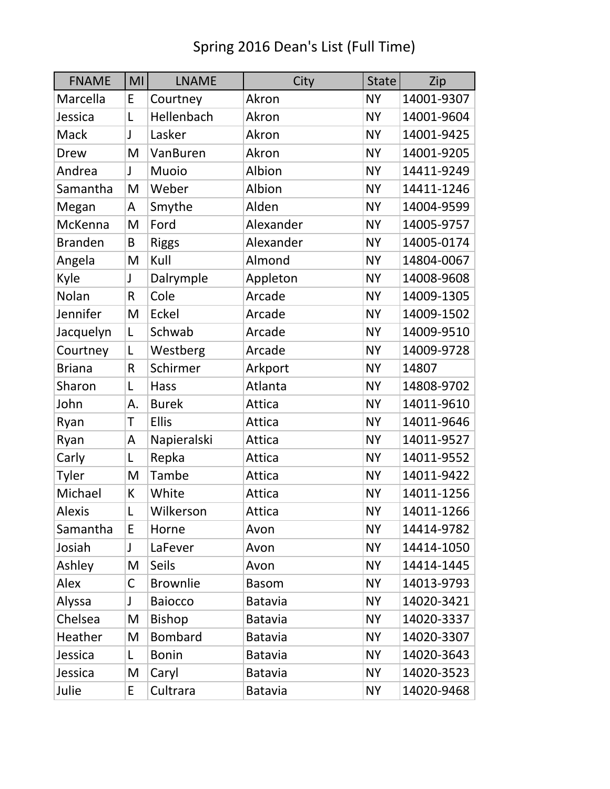| <b>FNAME</b>   | MI           | <b>LNAME</b>    | City           | <b>State</b> | Zip        |
|----------------|--------------|-----------------|----------------|--------------|------------|
| Marcella       | E            | Courtney        | Akron          | <b>NY</b>    | 14001-9307 |
| Jessica        | L            | Hellenbach      | Akron          | <b>NY</b>    | 14001-9604 |
| Mack           | J            | Lasker          | Akron          | <b>NY</b>    | 14001-9425 |
| Drew           | M            | VanBuren        | Akron          | <b>NY</b>    | 14001-9205 |
| Andrea         | J            | Muoio           | Albion         | <b>NY</b>    | 14411-9249 |
| Samantha       | M            | Weber           | Albion         | <b>NY</b>    | 14411-1246 |
| Megan          | A            | Smythe          | Alden          | <b>NY</b>    | 14004-9599 |
| McKenna        | M            | Ford            | Alexander      | <b>NY</b>    | 14005-9757 |
| <b>Branden</b> | B            | <b>Riggs</b>    | Alexander      | <b>NY</b>    | 14005-0174 |
| Angela         | M            | Kull            | Almond         | <b>NY</b>    | 14804-0067 |
| Kyle           | J            | Dalrymple       | Appleton       | <b>NY</b>    | 14008-9608 |
| Nolan          | $\mathsf{R}$ | Cole            | Arcade         | <b>NY</b>    | 14009-1305 |
| Jennifer       | M            | Eckel           | Arcade         | <b>NY</b>    | 14009-1502 |
| Jacquelyn      | L            | Schwab          | Arcade         | <b>NY</b>    | 14009-9510 |
| Courtney       | L            | Westberg        | Arcade         | <b>NY</b>    | 14009-9728 |
| <b>Briana</b>  | $\mathsf R$  | Schirmer        | Arkport        | <b>NY</b>    | 14807      |
| Sharon         | L            | <b>Hass</b>     | Atlanta        | <b>NY</b>    | 14808-9702 |
| John           | А.           | <b>Burek</b>    | Attica         | <b>NY</b>    | 14011-9610 |
| Ryan           | T            | <b>Ellis</b>    | Attica         | <b>NY</b>    | 14011-9646 |
| Ryan           | A            | Napieralski     | Attica         | <b>NY</b>    | 14011-9527 |
| Carly          | L            | Repka           | Attica         | <b>NY</b>    | 14011-9552 |
| Tyler          | M            | Tambe           | Attica         | <b>NY</b>    | 14011-9422 |
| Michael        | К            | White           | Attica         | <b>NY</b>    | 14011-1256 |
| <b>Alexis</b>  | L            | Wilkerson       | Attica         | <b>NY</b>    | 14011-1266 |
| Samantha       | E            | Horne           | Avon           | <b>NY</b>    | 14414-9782 |
| Josiah         | J            | LaFever         | Avon           | <b>NY</b>    | 14414-1050 |
| Ashley         | M            | <b>Seils</b>    | Avon           | <b>NY</b>    | 14414-1445 |
| Alex           | C            | <b>Brownlie</b> | <b>Basom</b>   | <b>NY</b>    | 14013-9793 |
| Alyssa         | J            | <b>Baiocco</b>  | <b>Batavia</b> | <b>NY</b>    | 14020-3421 |
| Chelsea        | M            | <b>Bishop</b>   | <b>Batavia</b> | <b>NY</b>    | 14020-3337 |
| Heather        | M            | <b>Bombard</b>  | Batavia        | <b>NY</b>    | 14020-3307 |
| Jessica        | L            | <b>Bonin</b>    | <b>Batavia</b> | <b>NY</b>    | 14020-3643 |
| Jessica        | M            | Caryl           | <b>Batavia</b> | <b>NY</b>    | 14020-3523 |
| Julie          | E            | Cultrara        | <b>Batavia</b> | <b>NY</b>    | 14020-9468 |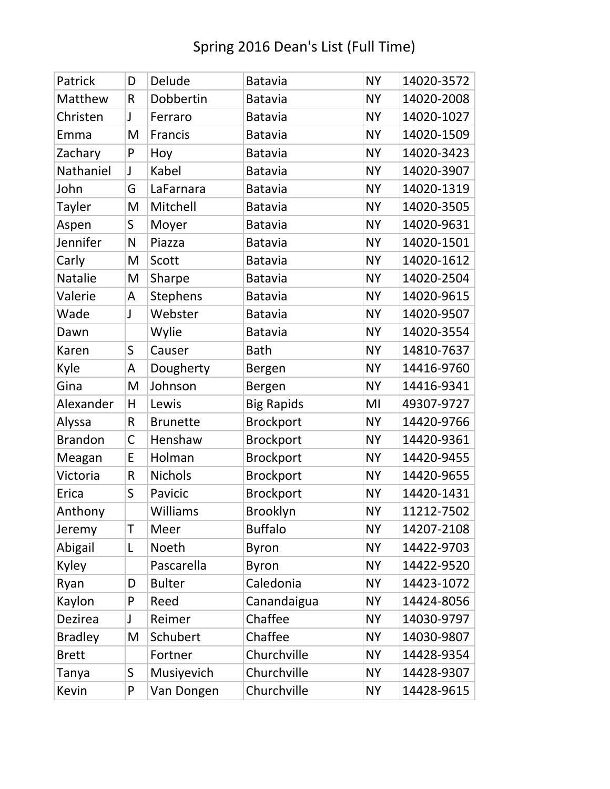| Patrick        | D            | Delude          | <b>Batavia</b>    | <b>NY</b> | 14020-3572 |
|----------------|--------------|-----------------|-------------------|-----------|------------|
| Matthew        | $\mathsf R$  | Dobbertin       | <b>Batavia</b>    | <b>NY</b> | 14020-2008 |
| Christen       | J            | Ferraro         | <b>Batavia</b>    | <b>NY</b> | 14020-1027 |
| Emma           | M            | Francis         | <b>Batavia</b>    | <b>NY</b> | 14020-1509 |
| Zachary        | P            | Hoy             | <b>Batavia</b>    | <b>NY</b> | 14020-3423 |
| Nathaniel      | J            | Kabel           | <b>Batavia</b>    | <b>NY</b> | 14020-3907 |
| John           | G            | LaFarnara       | <b>Batavia</b>    | <b>NY</b> | 14020-1319 |
| Tayler         | M            | Mitchell        | <b>Batavia</b>    | <b>NY</b> | 14020-3505 |
| Aspen          | S            | Moyer           | <b>Batavia</b>    | <b>NY</b> | 14020-9631 |
| Jennifer       | N            | Piazza          | <b>Batavia</b>    | <b>NY</b> | 14020-1501 |
| Carly          | M            | Scott           | <b>Batavia</b>    | <b>NY</b> | 14020-1612 |
| Natalie        | M            | Sharpe          | <b>Batavia</b>    | <b>NY</b> | 14020-2504 |
| Valerie        | A            | <b>Stephens</b> | <b>Batavia</b>    | <b>NY</b> | 14020-9615 |
| Wade           | J            | Webster         | <b>Batavia</b>    | <b>NY</b> | 14020-9507 |
| Dawn           |              | Wylie           | <b>Batavia</b>    | <b>NY</b> | 14020-3554 |
| Karen          | S            | Causer          | <b>Bath</b>       | <b>NY</b> | 14810-7637 |
| Kyle           | A            | Dougherty       | Bergen            | <b>NY</b> | 14416-9760 |
| Gina           | M            | Johnson         | Bergen            | <b>NY</b> | 14416-9341 |
| Alexander      | H            | Lewis           | <b>Big Rapids</b> | MI        | 49307-9727 |
| Alyssa         | R            | <b>Brunette</b> | <b>Brockport</b>  | <b>NY</b> | 14420-9766 |
| <b>Brandon</b> | $\mathsf{C}$ | Henshaw         | <b>Brockport</b>  | <b>NY</b> | 14420-9361 |
| Meagan         | E            | Holman          | <b>Brockport</b>  | <b>NY</b> | 14420-9455 |
| Victoria       | $\mathsf R$  | <b>Nichols</b>  | <b>Brockport</b>  | <b>NY</b> | 14420-9655 |
| Erica          | S            | Pavicic         | <b>Brockport</b>  | <b>NY</b> | 14420-1431 |
| Anthony        |              | Williams        | <b>Brooklyn</b>   | <b>NY</b> | 11212-7502 |
| Jeremy         | T            | Meer            | <b>Buffalo</b>    | <b>NY</b> | 14207-2108 |
| Abigail        | L            | Noeth           | <b>Byron</b>      | <b>NY</b> | 14422-9703 |
| Kyley          |              | Pascarella      | <b>Byron</b>      | <b>NY</b> | 14422-9520 |
| Ryan           | D            | <b>Bulter</b>   | Caledonia         | <b>NY</b> | 14423-1072 |
| Kaylon         | P            | Reed            | Canandaigua       | <b>NY</b> | 14424-8056 |
| Dezirea        | J            | Reimer          | Chaffee           | <b>NY</b> | 14030-9797 |
| <b>Bradley</b> | M            | Schubert        | Chaffee           | <b>NY</b> | 14030-9807 |
| <b>Brett</b>   |              | Fortner         | Churchville       | <b>NY</b> | 14428-9354 |
| Tanya          | S            | Musiyevich      | Churchville       | <b>NY</b> | 14428-9307 |
| Kevin          | P            | Van Dongen      | Churchville       | <b>NY</b> | 14428-9615 |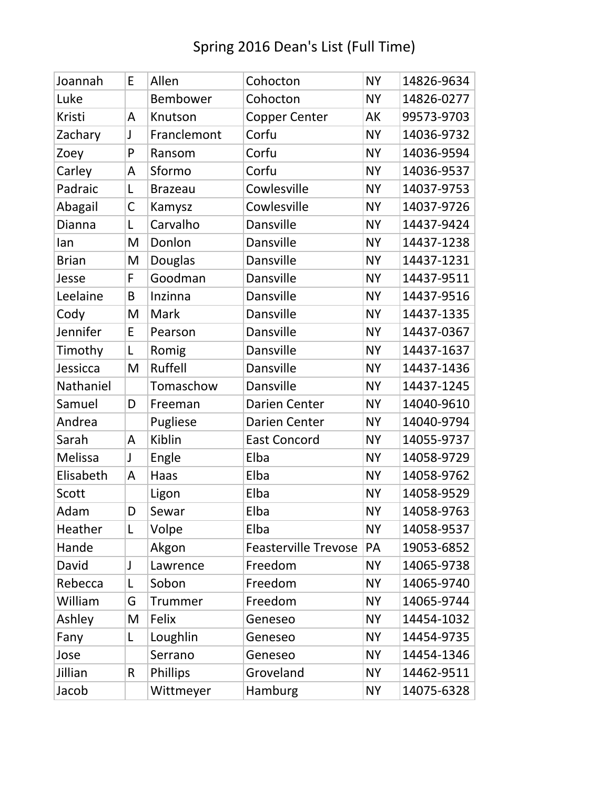| Joannah      | E            | Allen          | Cohocton                    | <b>NY</b> | 14826-9634 |
|--------------|--------------|----------------|-----------------------------|-----------|------------|
| Luke         |              | Bembower       | Cohocton                    | <b>NY</b> | 14826-0277 |
| Kristi       | A            | Knutson        | <b>Copper Center</b>        | AK        | 99573-9703 |
| Zachary      | J            | Franclemont    | Corfu                       | <b>NY</b> | 14036-9732 |
| Zoey         | P            | Ransom         | Corfu                       | <b>NY</b> | 14036-9594 |
| Carley       | A            | Sformo         | Corfu                       | <b>NY</b> | 14036-9537 |
| Padraic      | L            | <b>Brazeau</b> | Cowlesville                 | <b>NY</b> | 14037-9753 |
| Abagail      | $\mathsf{C}$ | Kamysz         | Cowlesville                 | <b>NY</b> | 14037-9726 |
| Dianna       | L            | Carvalho       | Dansville                   | <b>NY</b> | 14437-9424 |
| lan          | M            | Donlon         | Dansville                   | <b>NY</b> | 14437-1238 |
| <b>Brian</b> | M            | <b>Douglas</b> | Dansville                   | <b>NY</b> | 14437-1231 |
| Jesse        | F            | Goodman        | Dansville                   | <b>NY</b> | 14437-9511 |
| Leelaine     | B            | Inzinna        | Dansville                   | <b>NY</b> | 14437-9516 |
| Cody         | M            | Mark           | Dansville                   | <b>NY</b> | 14437-1335 |
| Jennifer     | E            | Pearson        | Dansville                   | <b>NY</b> | 14437-0367 |
| Timothy      | L            | Romig          | Dansville                   | <b>NY</b> | 14437-1637 |
| Jessicca     | M            | Ruffell        | Dansville                   | <b>NY</b> | 14437-1436 |
| Nathaniel    |              | Tomaschow      | Dansville                   | <b>NY</b> | 14437-1245 |
| Samuel       | D            | Freeman        | Darien Center               | <b>NY</b> | 14040-9610 |
| Andrea       |              | Pugliese       | Darien Center               | <b>NY</b> | 14040-9794 |
| Sarah        | A            | Kiblin         | <b>East Concord</b>         | <b>NY</b> | 14055-9737 |
| Melissa      | J            | Engle          | Elba                        | <b>NY</b> | 14058-9729 |
| Elisabeth    | A            | Haas           | Elba                        | <b>NY</b> | 14058-9762 |
| Scott        |              | Ligon          | Elba                        | <b>NY</b> | 14058-9529 |
| Adam         | D            | Sewar          | Elba                        | <b>NY</b> | 14058-9763 |
| Heather      | L            | Volpe          | Elba                        | <b>NY</b> | 14058-9537 |
| Hande        |              | Akgon          | <b>Feasterville Trevose</b> | PA        | 19053-6852 |
| David        | J            | Lawrence       | Freedom                     | <b>NY</b> | 14065-9738 |
| Rebecca      | Г            | Sobon          | Freedom                     | <b>NY</b> | 14065-9740 |
| William      | G            | Trummer        | Freedom                     | <b>NY</b> | 14065-9744 |
| Ashley       | M            | Felix          | Geneseo                     | <b>NY</b> | 14454-1032 |
| Fany         | Г            | Loughlin       | Geneseo                     | <b>NY</b> | 14454-9735 |
| Jose         |              | Serrano        | Geneseo                     | <b>NY</b> | 14454-1346 |
| Jillian      | $\mathsf{R}$ | Phillips       | Groveland                   | <b>NY</b> | 14462-9511 |
| Jacob        |              | Wittmeyer      | Hamburg                     | <b>NY</b> | 14075-6328 |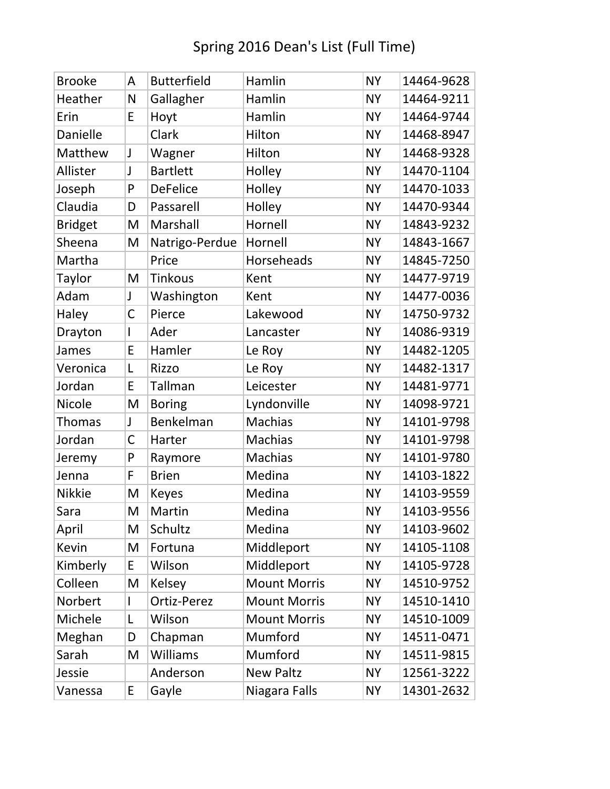### Brooke | A Butterfield | Hamlin | NY | 14464-9628 Heather N Gallagher Hamlin NY 14464-9211 Erin  $|E|$ Hoyt Hamlin  $|NY|$  14464-9744 Danielle Clark Hilton NY 14468-8947 Matthew J Wagner Hilton NY 14468-9328 Allister JJ Bartlett Holley NY 14470-1104 Joseph |P |DeFelice |Holley |NY |14470-1033 Claudia | D | Passarell | Holley | NY | 14470-9344 Bridget | M | Marshall | Hornell | NY | 14843-9232 Sheena | M | Natrigo-Perdue | Hornell | NY | 14843-1667 Martha | Price | Horseheads | NY | 14845-7250 Taylor | M | Tinkous | Kent | NY | 14477-9719 Adam J Washington Kent NY 14477-0036 Haley C Pierce Lakewood NY 14750-9732 Drayton | Ader | Lancaster | NY | 14086-9319 James  $\begin{array}{|c|c|c|c|c|}\n\hline\n\text{Hamler} & \text{Le Roy} & \text{NY} & \text{14482-1205}\n\hline\n\end{array}$ Veronica  $|L|$  Rizzo  $|Le Roy$  NY 14482-1317 Jordan | E|Tallman | Leicester | NY | 14481-9771 Nicole | M Boring | Lyndonville | NY | 14098-9721 Thomas J Benkelman Machias NY 14101-9798 Jordan | C | Harter | Machias | NY | 14101-9798 Jeremy P Raymore Machias NY 14101-9780 Jenna | F | Brien | Medina | NY | 14103-1822 Nikkie | M Keyes | Medina | NY | 14103-9559 Sara | M | Martin | Medina | NY | 14103-9556 April M Schultz Medina NY 14103-9602 Kevin | M Fortuna | Middleport | NY | 14105-1108 Kimberly  $E$  Wilson Middleport NY 14105-9728 Colleen | M Kelsey Mount Morris | NY | 14510-9752 Norbert | Ortiz-Perez | Mount Morris | NY | 14510-1410 Michele L Wilson Mount Morris NY 14510-1009 Meghan D Chapman Mumford NY 14511-0471 Sarah | M Williams | Mumford | NY | 14511-9815 Jessie | Anderson New Paltz | NY | 12561-3222 Vanessa E Gayle | Niagara Falls | NY 14301-2632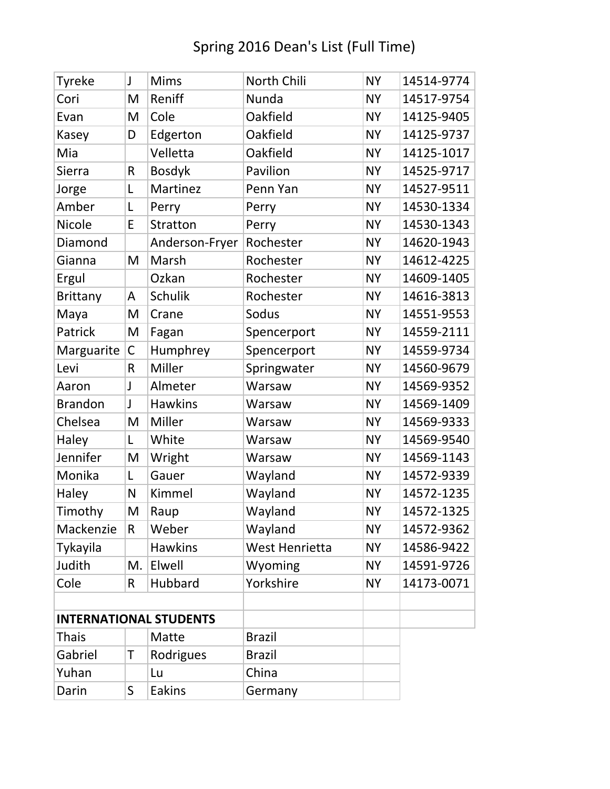| <b>Tyreke</b>                 | J           | <b>Mims</b>     | North Chili           | <b>NY</b> | 14514-9774 |
|-------------------------------|-------------|-----------------|-----------------------|-----------|------------|
| Cori                          | M           | Reniff          | Nunda                 | <b>NY</b> | 14517-9754 |
| Evan                          | M           | Cole            | Oakfield              | <b>NY</b> | 14125-9405 |
| Kasey                         | D           | Edgerton        | Oakfield              | <b>NY</b> | 14125-9737 |
| Mia                           |             | Velletta        | Oakfield              | <b>NY</b> | 14125-1017 |
| Sierra                        | R           | <b>Bosdyk</b>   | Pavilion              | <b>NY</b> | 14525-9717 |
| Jorge                         | L           | Martinez        | Penn Yan              | <b>NY</b> | 14527-9511 |
| Amber                         | L           | Perry           | Perry                 | <b>NY</b> | 14530-1334 |
| Nicole                        | E           | <b>Stratton</b> | Perry                 | <b>NY</b> | 14530-1343 |
| Diamond                       |             | Anderson-Fryer  | Rochester             | <b>NY</b> | 14620-1943 |
| Gianna                        | M           | Marsh           | Rochester             | <b>NY</b> | 14612-4225 |
| Ergul                         |             | Ozkan           | Rochester             | <b>NY</b> | 14609-1405 |
| <b>Brittany</b>               | Α           | <b>Schulik</b>  | Rochester             | <b>NY</b> | 14616-3813 |
| Maya                          | M           | Crane           | Sodus                 | <b>NY</b> | 14551-9553 |
| Patrick                       | M           | Fagan           | Spencerport           | <b>NY</b> | 14559-2111 |
| Marguarite                    | $\mathsf C$ | Humphrey        | Spencerport           | <b>NY</b> | 14559-9734 |
| Levi                          | R           | Miller          | Springwater           | <b>NY</b> | 14560-9679 |
| Aaron                         | J           | Almeter         | Warsaw                | <b>NY</b> | 14569-9352 |
| <b>Brandon</b>                | J           | <b>Hawkins</b>  | Warsaw                | <b>NY</b> | 14569-1409 |
| Chelsea                       | M           | Miller          | Warsaw                | <b>NY</b> | 14569-9333 |
| Haley                         | L           | White           | Warsaw                | <b>NY</b> | 14569-9540 |
| Jennifer                      | M           | Wright          | Warsaw                | <b>NY</b> | 14569-1143 |
| Monika                        | L           | Gauer           | Wayland               | <b>NY</b> | 14572-9339 |
| Haley                         | N           | Kimmel          | Wayland               | <b>NY</b> | 14572-1235 |
| Timothy                       | M           | Raup            | Wayland               | <b>NY</b> | 14572-1325 |
| Mackenzie                     | R           | Weber           | Wayland               | <b>NY</b> | 14572-9362 |
| Tykayila                      |             | <b>Hawkins</b>  | <b>West Henrietta</b> | <b>NY</b> | 14586-9422 |
| Judith                        | M.          | Elwell          | Wyoming               | <b>NY</b> | 14591-9726 |
| Cole                          | R           | Hubbard         | Yorkshire             | <b>NY</b> | 14173-0071 |
|                               |             |                 |                       |           |            |
| <b>INTERNATIONAL STUDENTS</b> |             |                 |                       |           |            |
| <b>Thais</b><br>Matte         |             | <b>Brazil</b>   |                       |           |            |
| Gabriel                       | T           | Rodrigues       | <b>Brazil</b>         |           |            |
| Yuhan                         |             | Lu              | China                 |           |            |
| Darin                         | S           | <b>Eakins</b>   | Germany               |           |            |